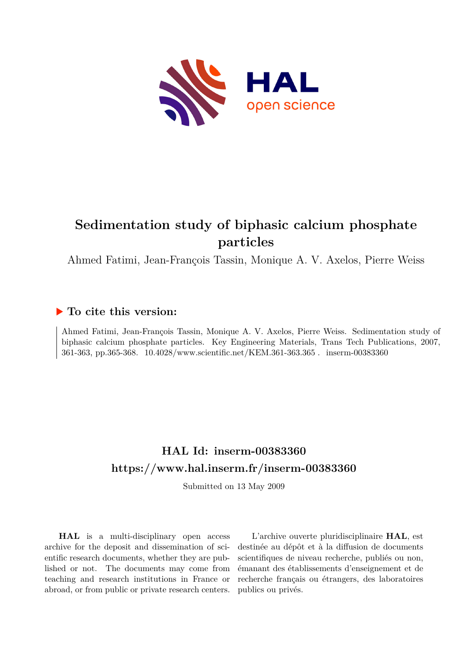

# **Sedimentation study of biphasic calcium phosphate particles**

Ahmed Fatimi, Jean-François Tassin, Monique A. V. Axelos, Pierre Weiss

### **To cite this version:**

Ahmed Fatimi, Jean-François Tassin, Monique A. V. Axelos, Pierre Weiss. Sedimentation study of biphasic calcium phosphate particles. Key Engineering Materials, Trans Tech Publications, 2007, 361-363, pp.365-368.  $10.4028/\text{www.scientific.net}/\text{KEM}.361-363.365$ . inserm-00383360

## **HAL Id: inserm-00383360 <https://www.hal.inserm.fr/inserm-00383360>**

Submitted on 13 May 2009

**HAL** is a multi-disciplinary open access archive for the deposit and dissemination of scientific research documents, whether they are published or not. The documents may come from teaching and research institutions in France or abroad, or from public or private research centers.

L'archive ouverte pluridisciplinaire **HAL**, est destinée au dépôt et à la diffusion de documents scientifiques de niveau recherche, publiés ou non, émanant des établissements d'enseignement et de recherche français ou étrangers, des laboratoires publics ou privés.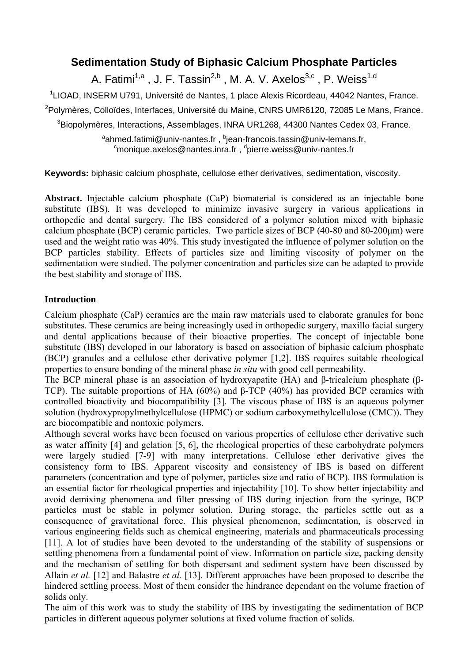## **Sedimentation Study of Biphasic Calcium Phosphate Particles**

A. Fatimi<sup>1,a</sup>, J. F. Tassin<sup>2,b</sup>, M. A. V. Axelos<sup>3,c</sup>, P. Weiss<sup>1,d</sup>

<sup>1</sup>LIOAD, INSERM U791, Université de Nantes, 1 place Alexis Ricordeau, 44042 Nantes, France.

2 Polymères, Colloïdes, Interfaces, Université du Maine, CNRS UMR6120, 72085 Le Mans, France.

 ${}^{3}$ Biopolymères, Interactions, Assemblages, INRA UR1268, 44300 Nantes Cedex 03, France.

<sup>a</sup>ahmed.fatimi@univ-nantes.fr, bjean-francois.tassin@univ-lemans.fr,<br>comique axeles@pantes.irra.fr shierre weise@univ.pantes.fr monique.axelos@nantes.inra.fr, dpierre.weiss@univ-nantes.fr

**Keywords:** biphasic calcium phosphate, cellulose ether derivatives, sedimentation, viscosity.

**Abstract.** Injectable calcium phosphate (CaP) biomaterial is considered as an injectable bone substitute (IBS). It was developed to minimize invasive surgery in various applications in orthopedic and dental surgery. The IBS considered of a polymer solution mixed with biphasic calcium phosphate (BCP) ceramic particles. Two particle sizes of BCP (40-80 and 80-200µm) were used and the weight ratio was 40%. This study investigated the influence of polymer solution on the BCP particles stability. Effects of particles size and limiting viscosity of polymer on the sedimentation were studied. The polymer concentration and particles size can be adapted to provide the best stability and storage of IBS.

#### **Introduction**

Calcium phosphate (CaP) ceramics are the main raw materials used to elaborate granules for bone substitutes. These ceramics are being increasingly used in orthopedic surgery, maxillo facial surgery and dental applications because of their bioactive properties. The concept of injectable bone substitute (IBS) developed in our laboratory is based on association of biphasic calcium phosphate (BCP) granules and a cellulose ether derivative polymer [1,2]. IBS requires suitable rheological properties to ensure bonding of the mineral phase *in situ* with good cell permeability.

The BCP mineral phase is an association of hydroxyapatite (HA) and β-tricalcium phosphate (β-TCP). The suitable proportions of HA (60%) and β-TCP (40%) has provided BCP ceramics with controlled bioactivity and biocompatibility [3]. The viscous phase of IBS is an aqueous polymer solution (hydroxypropylmethylcellulose (HPMC) or sodium carboxymethylcellulose (CMC)). They are biocompatible and nontoxic polymers.

Although several works have been focused on various properties of cellulose ether derivative such as water affinity [4] and gelation [5, 6], the rheological properties of these carbohydrate polymers were largely studied [7-9] with many interpretations. Cellulose ether derivative gives the consistency form to IBS. Apparent viscosity and consistency of IBS is based on different parameters (concentration and type of polymer, particles size and ratio of BCP). IBS formulation is an essential factor for rheological properties and injectability [10]. To show better injectability and avoid demixing phenomena and filter pressing of IBS during injection from the syringe, BCP particles must be stable in polymer solution. During storage, the particles settle out as a consequence of gravitational force. This physical phenomenon, sedimentation, is observed in various engineering fields such as chemical engineering, materials and pharmaceuticals processing [11]. A lot of studies have been devoted to the understanding of the stability of suspensions or settling phenomena from a fundamental point of view. Information on particle size, packing density and the mechanism of settling for both dispersant and sediment system have been discussed by Allain *et al.* [12] and Balastre *et al.* [13]. Different approaches have been proposed to describe the hindered settling process. Most of them consider the hindrance dependant on the volume fraction of solids only.

The aim of this work was to study the stability of IBS by investigating the sedimentation of BCP particles in different aqueous polymer solutions at fixed volume fraction of solids.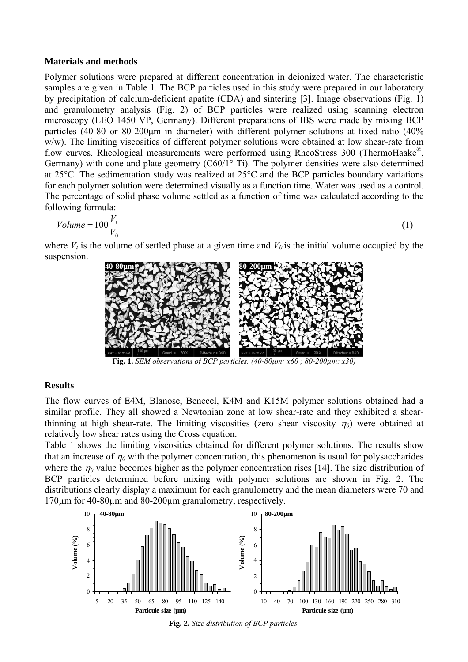#### **Materials and methods**

Polymer solutions were prepared at different concentration in deionized water. The characteristic samples are given in Table 1. The BCP particles used in this study were prepared in our laboratory by precipitation of calcium-deficient apatite (CDA) and sintering [3]. Image observations (Fig. 1) and granulometry analysis (Fig. 2) of BCP particles were realized using scanning electron microscopy (LEO 1450 VP, Germany). Different preparations of IBS were made by mixing BCP particles (40-80 or 80-200  $\mu$ m in diameter) with different polymer solutions at fixed ratio (40%) w/w). The limiting viscosities of different polymer solutions were obtained at low shear-rate from flow curves. Rheological measurements were performed using RheoStress 300 (ThermoHaake®, Germany) with cone and plate geometry (C60/1° Ti). The polymer densities were also determined at 25°C. The sedimentation study was realized at 25°C and the BCP particles boundary variations for each polymer solution were determined visually as a function time. Water was used as a control. The percentage of solid phase volume settled as a function of time was calculated according to the following formula:

$$
Volume = 100 \frac{V_t}{V_0} \tag{1}
$$

where  $V_t$  is the volume of settled phase at a given time and  $V_0$  is the initial volume occupied by the suspension.



**Fig. 1.** *SEM observations of BCP particles. (40-80µm: x60 ; 80-200µm: x30)*

#### **Results**

The flow curves of E4M, Blanose, Benecel, K4M and K15M polymer solutions obtained had a similar profile. They all showed a Newtonian zone at low shear-rate and they exhibited a shearthinning at high shear-rate. The limiting viscosities (zero shear viscosity  $\eta_0$ ) were obtained at relatively low shear rates using the Cross equation.

Table 1 shows the limiting viscosities obtained for different polymer solutions. The results show that an increase of  $\eta_0$  with the polymer concentration, this phenomenon is usual for polysaccharides where the  $\eta_0$  value becomes higher as the polymer concentration rises [14]. The size distribution of BCP particles determined before mixing with polymer solutions are shown in Fig. 2. The distributions clearly display a maximum for each granulometry and the mean diameters were 70 and 170µm for 40-80µm and 80-200µm granulometry, respectively.



**Fig. 2.** *Size distribution of BCP particles.*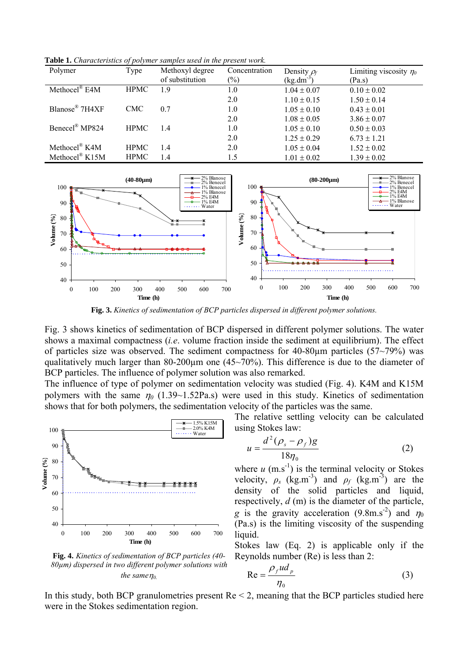**Table 1.** *Characteristics of polymer samples used in the present work.*

| Polymer                    | Type        | Methoxyl degree | Concentration | Density $\rho_f$ | Limiting viscosity $\eta_0$ |
|----------------------------|-------------|-----------------|---------------|------------------|-----------------------------|
|                            |             | of substitution | $(\%)$        | $(kg.dm-3)$      | (Pa.s)                      |
| Methocel <sup>®</sup> E4M  | <b>HPMC</b> | 1.9             | 1.0           | $1.04 \pm 0.07$  | $0.10 \pm 0.02$             |
|                            |             |                 | 2.0           | $1.10 \pm 0.15$  | $1.50 \pm 0.14$             |
| Blanose <sup>®</sup> 7H4XF | <b>CMC</b>  | 0.7             | 1.0           | $1.05 \pm 0.10$  | $0.43 \pm 0.01$             |
|                            |             |                 | 2.0           | $1.08 \pm 0.05$  | $3.86 \pm 0.07$             |
| Benecel <sup>®</sup> MP824 | <b>HPMC</b> | 1.4             | 1.0           | $1.05 \pm 0.10$  | $0.50 \pm 0.03$             |
|                            |             |                 | 2.0           | $1.25 \pm 0.29$  | $6.73 \pm 1.21$             |
| Methocel <sup>®</sup> K4M  | <b>HPMC</b> | 1.4             | 2.0           | $1.05 \pm 0.04$  | $1.52 \pm 0.02$             |
| Methocel <sup>®</sup> K15M | <b>HPMC</b> | 1.4             | 1.5           | $1.01 \pm 0.02$  | $1.39 \pm 0.02$             |



**Fig. 3.** *Kinetics of sedimentation of BCP particles dispersed in different polymer solutions.*

Fig. 3 shows kinetics of sedimentation of BCP dispersed in different polymer solutions. The water shows a maximal compactness (*i.e*. volume fraction inside the sediment at equilibrium). The effect of particles size was observed. The sediment compactness for  $40-80\mu m$  particles ( $57\sim79\%$ ) was qualitatively much larger than  $80-200\mu$ m one  $(45\sim 70\%)$ . This difference is due to the diameter of BCP particles. The influence of polymer solution was also remarked.

The influence of type of polymer on sedimentation velocity was studied (Fig. 4). K4M and K15M polymers with the same  $\eta_0$  (1.39~1.52Pa.s) were used in this study. Kinetics of sedimentation shows that for both polymers, the sedimentation velocity of the particles was the same.



**Fig. 4.** *Kinetics of sedimentation of BCP particles (40- 80µm) dispersed in two different polymer solutions with the same n*<sub>0</sub>

The relative settling velocity can be calculated using Stokes law:

$$
u = \frac{d^2(\rho_s - \rho_f)g}{18\eta_0} \tag{2}
$$

where  $u$  (m.s<sup>-1</sup>) is the terminal velocity or Stokes velocity,  $\rho_s$  (kg.m<sup>-3</sup>) and  $\rho_f$  (kg.m<sup>-3</sup>) are the density of the solid particles and liquid, respectively, *d* (m) is the diameter of the particle, *g* is the gravity acceleration (9.8m.s<sup>-2</sup>) and  $\eta_0$ (Pa.s) is the limiting viscosity of the suspending liquid.

Stokes law (Eq. 2) is applicable only if the Reynolds number (Re) is less than 2:

$$
\text{Re} = \frac{\rho_f u d_p}{\eta_0} \tag{3}
$$

In this study, both BCP granulometries present  $Re < 2$ , meaning that the BCP particles studied here were in the Stokes sedimentation region.